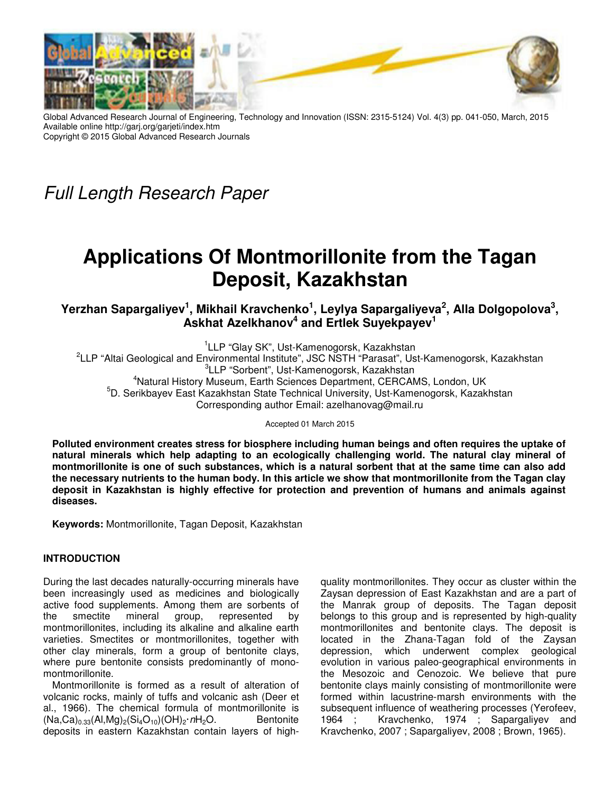

Global Advanced Research Journal of Engineering, Technology and Innovation (ISSN: 2315-5124) Vol. 4(3) pp. 041-050, March, 2015 Available online http://garj.org/garjeti/index.htm Copyright © 2015 Global Advanced Research Journals

*Full Length Research Paper*

# **Applications Of Montmorillonite from the Tagan Deposit, Kazakhstan**

**Yerzhan Sapargaliyev<sup>1</sup> , Mikhail Kravchenko<sup>1</sup> , Leylya Sapargaliyeva<sup>2</sup> , Alla Dolgopolova<sup>3</sup> , Askhat Azеlkhanov<sup>4</sup> and Ertlek Suyekpayev<sup>1</sup>**

<sup>1</sup>LLP "Glay SK", Ust-Kamenogorsk, Kazakhstan <sup>2</sup>LLP "Altai Geological and Environmental Institute", JSC NSTH "Parasat", Ust-Kamenogorsk, Kazakhstan 3 LLP "Sorbent", Ust-Kamenogorsk, Kazakhstan <sup>4</sup>Natural History Museum, Earth Sciences Department, CERCAMS, London, UK <sup>5</sup>D. Serikbayev East Kazakhstan State Technical University, Ust-Kamenogorsk, Kazakhstan Corresponding author Email: azelhanovag@mail.ru

Accepted 01 March 2015

**Polluted environment creates stress for biosphere including human beings and often requires the uptake of natural minerals which help adapting to an ecologically challenging world. The natural clay mineral of montmorillonite is one of such substances, which is a natural sorbent that at the same time can also add the necessary nutrients to the human body. In this article we show that montmorillonite from the Tagan clay deposit in Kazakhstan is highly effective for protection and prevention of humans and animals against diseases.** 

**Keywords:** Montmorillonite, Tagan Deposit, Kazakhstan

### **INTRODUCTION**

During the last decades naturally-occurring minerals have been increasingly used as medicines and biologically active food supplements. Among them are sorbents of the smectite mineral group, represented by montmorillonites, including its alkaline and alkaline earth varieties. Smectites or montmorillonites, together with other clay minerals, form a group of bentonite clays, where pure bentonite consists predominantly of monomontmorillonite.

Montmorillonite is formed as a result of alteration of volcanic rocks, mainly of tuffs and volcanic ash (Deer et al., 1966). The chemical formula of montmorillonite is  $(Na,Ca)_{0.33}(Al,Mg)_{2}(Si_{4}O_{10})(OH)_{2} \cdot nH_{2}O.$  Bentonite deposits in eastern Kazakhstan contain layers of highquality montmorillonites. They occur as cluster within the Zaysan depression of East Kazakhstan and are a part of the Manrak group of deposits. The Tagan deposit belongs to this group and is represented by high-quality montmorillonites and bentonite clays. The deposit is located in the Zhana-Tagan fold of the Zaysan depression, which underwent complex geological evolution in various paleo-geographical environments in the Mesozoic and Cenozoic. We believe that pure bentonite clays mainly consisting of montmorillonite were formed within lacustrine-marsh environments with the subsequent influence of weathering processes (Yerofeev, 1964 ; Kravchenko, 1974 ; Sapargaliyev and Kravchenko, 2007 ; Sapargaliyev, 2008 ; Brown, 1965).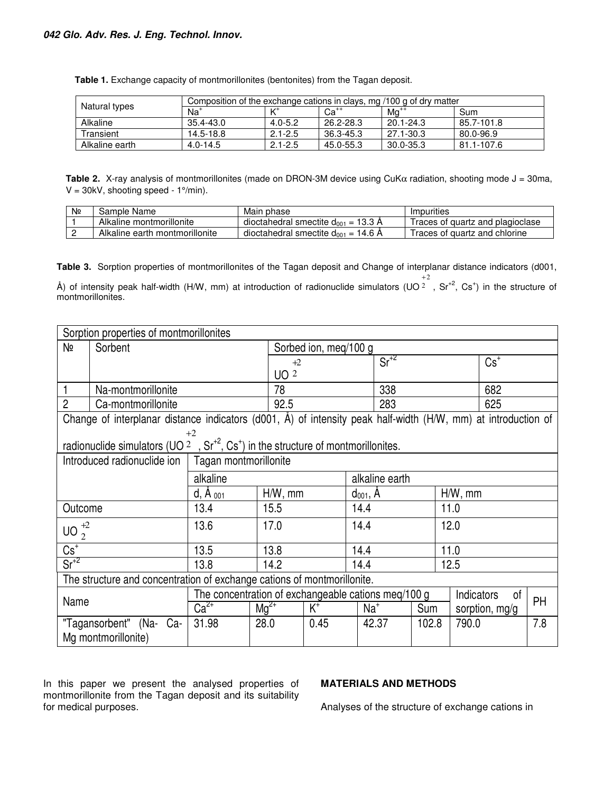| Natural types  | Composition of the exchange cations in clays, mg /100 g of dry matter |             |           |           |            |  |  |  |
|----------------|-----------------------------------------------------------------------|-------------|-----------|-----------|------------|--|--|--|
|                | Na <sup>+</sup>                                                       |             | $Ca^{++}$ | $Mg^{++}$ | Sum        |  |  |  |
| Alkaline       | 35.4-43.0                                                             | $4.0 - 5.2$ | 26.2-28.3 | 20.1-24.3 | 85.7-101.8 |  |  |  |
| Transient      | 14.5-18.8                                                             | $2.1 - 2.5$ | 36.3-45.3 | 27.1-30.3 | 80.0-96.9  |  |  |  |
| Alkaline earth | $4.0 - 14.5$                                                          | $2.1 - 2.5$ | 45.0-55.3 | 30.0-35.3 | 81.1-107.6 |  |  |  |

**Table 1.** Exchange capacity of montmorillonites (bentonites) from the Tagan deposit.

**Table 2.** X-ray analysis of montmorillonites (made on DRON-3M device using CuKα radiation, shooting mode J = 30ma,  $V = 30kV$ , shooting speed - 1°/min).

| Nº | Sample Name                    | Main phase                               | Impurities                       |
|----|--------------------------------|------------------------------------------|----------------------------------|
|    | Alkaline montmorillonite       | dioctahedral smectite $d_{001}$ = 13.3 Å | Traces of quartz and plagioclase |
|    | Alkaline earth montmorillonite | dioctahedral smectite $d_{001}$ = 14.6 Å | I races of quartz and chlorine   |

**Table 3.** Sorption properties of montmorillonites of the Tagan deposit and Change of interplanar distance indicators (d001, 2  $^{+2}$ , Sr<sup>+2</sup>, Cs<sup>+</sup>) in the structure of

Å) of intensity peak half-width (H/W, mm) at introduction of radionuclide simulators (UO 2 montmorillonites.

| Sorption properties of montmorillonites                                 |                                                                                                               |            |                                                     |                       |            |        |            |                |     |  |  |
|-------------------------------------------------------------------------|---------------------------------------------------------------------------------------------------------------|------------|-----------------------------------------------------|-----------------------|------------|--------|------------|----------------|-----|--|--|
| Nº                                                                      | Sorbent                                                                                                       |            |                                                     | Sorbed ion, meq/100 g |            |        |            |                |     |  |  |
|                                                                         |                                                                                                               |            |                                                     | $+2$                  |            | $Sr+2$ |            | $Cs^+$         |     |  |  |
|                                                                         |                                                                                                               |            |                                                     |                       |            |        |            |                |     |  |  |
|                                                                         | Na-montmorillonite                                                                                            |            |                                                     |                       | 338        |        |            | 682            |     |  |  |
| $\overline{2}$                                                          | Ca-montmorillonite                                                                                            |            | 92.5                                                | 283                   |            |        |            | 625            |     |  |  |
|                                                                         | Change of interplanar distance indicators (d001, Å) of intensity peak half-width (H/W, mm) at introduction of |            |                                                     |                       |            |        |            |                |     |  |  |
|                                                                         |                                                                                                               | $+2$       |                                                     |                       |            |        |            |                |     |  |  |
|                                                                         | radionuclide simulators ( $UO2$ , $Sr+2$ , $Cs+$ ) in the structure of montmorillonites.                      |            |                                                     |                       |            |        |            |                |     |  |  |
|                                                                         | Introduced radionuclide ion   Tagan montmorillonite                                                           |            |                                                     |                       |            |        |            |                |     |  |  |
|                                                                         | alkaline                                                                                                      |            |                                                     | alkaline earth        |            |        |            |                |     |  |  |
| $d, \dot{A}$ 001                                                        |                                                                                                               | $H/W$ , mm | $d_{001}$ , A                                       |                       | $H/W$ , mm |        |            |                |     |  |  |
|                                                                         | 13.4<br>15.5<br>Outcome                                                                                       |            |                                                     |                       | 14.4       |        | 11.0       |                |     |  |  |
| UO $_2^{+2}$                                                            | 13.6                                                                                                          |            | 17.0                                                | 14.4                  |            | 12.0   |            |                |     |  |  |
|                                                                         |                                                                                                               |            |                                                     |                       |            |        |            |                |     |  |  |
| $\overline{\text{Cs}^+}$                                                |                                                                                                               | 13.5       |                                                     | 13.8<br>14.4          |            |        |            | 11.0           |     |  |  |
| $Sr+2$                                                                  |                                                                                                               | 13.8       | 14.2                                                | 14.4                  |            |        | 12.5       |                |     |  |  |
| The structure and concentration of exchange cations of montmorillonite. |                                                                                                               |            |                                                     |                       |            |        |            |                |     |  |  |
| Name                                                                    |                                                                                                               |            | The concentration of exchangeable cations meq/100 g |                       |            |        | Indicators | 0f             | PH  |  |  |
|                                                                         |                                                                                                               | $Ca2+$     | $Mq^{2+}$                                           | $K^+$                 | $Na+$      | Sum    |            | sorption, mg/g |     |  |  |
|                                                                         | "Tagansorbent" (Na- Ca-                                                                                       | 31.98      | 28.0                                                | 0.45                  | 42.37      | 102.8  | 790.0      |                | 7.8 |  |  |
|                                                                         | Mg montmorillonite)                                                                                           |            |                                                     |                       |            |        |            |                |     |  |  |

In this paper we present the analysed properties of montmorillonite from the Tagan deposit and its suitability for medical purposes.

## **MATERIALS AND METHODS**

Analyses of the structure of exchange cations in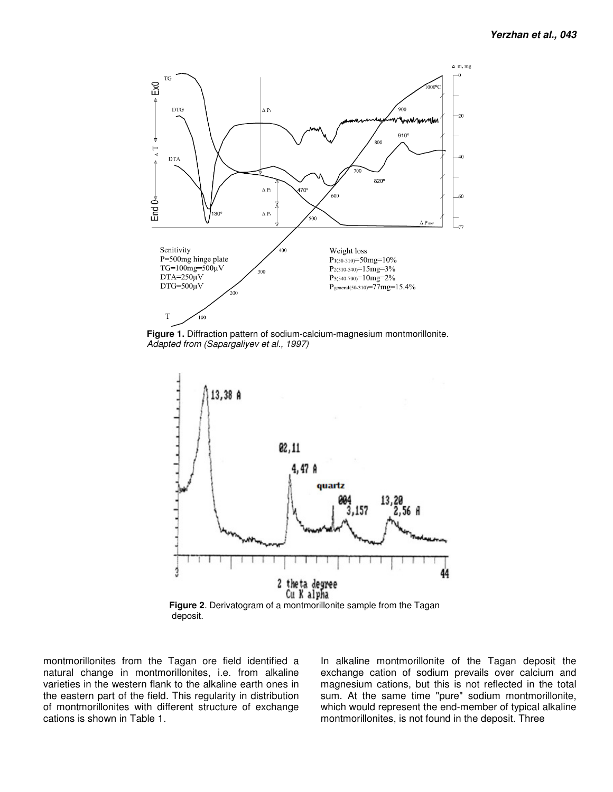

**Figure 1.** Diffraction pattern of sodium-calcium-magnesium montmorillonite. *Adapted from (Sapargaliyev et al., 1997)* 



deposit.

montmorillonites from the Tagan ore field identified a natural change in montmorillonites, i.e. from alkaline varieties in the western flank to the alkaline earth ones in the eastern part of the field. This regularity in distribution of montmorillonites with different structure of exchange cations is shown in Table 1.

In alkaline montmorillonite of the Tagan deposit the exchange cation of sodium prevails over calcium and magnesium cations, but this is not reflected in the total sum. At the same time "pure" sodium montmorillonite, which would represent the end-member of typical alkaline montmorillonites, is not found in the deposit. Three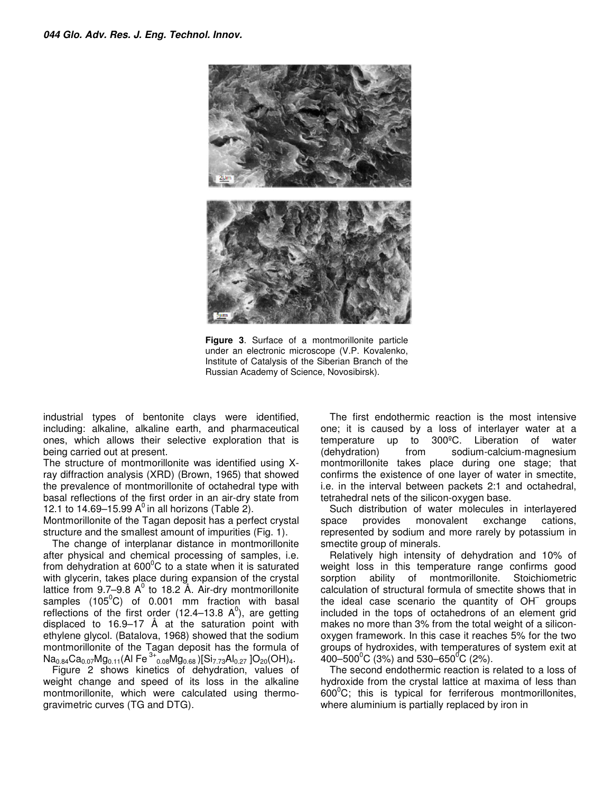

**Figure 3**. Surface of a montmorillonite particle under an electronic microscope (V.P. Kovalenko, Institute of Catalysis of the Siberian Branch of the Russian Academy of Science, Novosibirsk).

industrial types of bentonite clays were identified, including: alkaline, alkaline earth, and pharmaceutical ones, which allows their selective exploration that is being carried out at present.

The structure of montmorillonite was identified using Xray diffraction analysis (XRD) (Brown, 1965) that showed the prevalence of montmorillonite of octahedral type with basal reflections of the first order in an air-dry state from 12.1 to 14.69–15.99  $A^0$  in all horizons (Table 2).

Montmorillonite of the Tagan deposit has a perfect crystal structure and the smallest amount of impurities (Fig. 1).

The change of interplanar distance in montmorillonite after physical and chemical processing of samples, i.e. from dehydration at  $600^{\circ}$ C to a state when it is saturated with glycerin, takes place during expansion of the crystal lattice from 9.7–9.8  $A^0$  to 18.2 Å. Air-dry montmorillonite samples  $(105^{\circ}C)$  of 0.001 mm fraction with basal reflections of the first order (12.4–13.8  $A^0$ ), are getting displaced to 16.9–17 Å at the saturation point with ethylene glycol. (Batalova, 1968) showed that the sodium montmorillonite of the Tagan deposit has the formula of  $\textsf{Na}_{0.84}\textsf{Ca}_{0.07}\textsf{Mg}_{0.11}(\textsf{Al}\ \textsf{Fe}^{\,3+}{}_{0.08}\textsf{Mg}_{0.68})[\textsf{Si}_{7.73}\textsf{Al}_{0.27}\ ]\textsf{O}_{20}(\textsf{OH})_{4}.$ 

Figure 2 shows kinetics of dehydration, values of weight change and speed of its loss in the alkaline montmorillonite, which were calculated using thermogravimetric curves (TG and DTG).

The first endothermic reaction is the most intensive one; it is caused by a loss of interlayer water at a temperature up to 300ºС. Liberation of water (dehydration) from sodium-calcium-magnesium montmorillonite takes place during one stage; that confirms the existence of one layer of water in smectite, i.e. in the interval between packets 2:1 and octahedral, tetrahedral nets of the silicon-oxygen base.

Such distribution of water molecules in interlayered space provides monovalent exchange cations, represented by sodium and more rarely by potassium in smectite group of minerals.

Relatively high intensity of dehydration and 10% of weight loss in this temperature range confirms good sorption ability of montmorillonite. Stoichiometric calculation of structural formula of smectite shows that in the ideal case scenario the quantity of OH<sup>-</sup> groups included in the tops of octahedrons of an element grid makes no more than 3% from the total weight of a siliconoxygen framework. In this case it reaches 5% for the two groups of hydroxides, with temperatures of system exit at 400–500<sup>°</sup>C (3%) and 530–650<sup>°</sup>C (2%).

The second endothermic reaction is related to a loss of hydroxide from the crystal lattice at maxima of less than  $600^{\circ}$ C; this is typical for ferriferous montmorillonites, where aluminium is partially replaced by iron in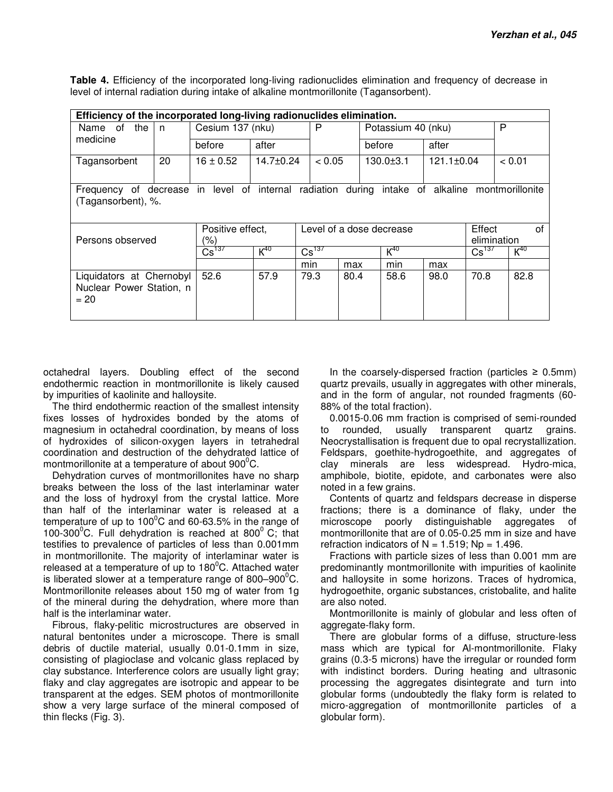**Table 4.** Efficiency of the incorporated long-living radionuclides elimination and frequency of decrease in level of internal radiation during intake of alkaline montmorillonite (Tagansorbent).

| Efficiency of the incorporated long-living radionuclides elimination.                                                |                         |                                     |                                    |                   |      |                    |                                          |      |          |
|----------------------------------------------------------------------------------------------------------------------|-------------------------|-------------------------------------|------------------------------------|-------------------|------|--------------------|------------------------------------------|------|----------|
| of<br>the<br>Name<br>medicine                                                                                        | n                       | Cesium 137 (nku)                    |                                    | P                 |      | Potassium 40 (nku) |                                          |      | P        |
|                                                                                                                      |                         | before                              | after                              |                   |      | before             | after                                    |      |          |
| Tagansorbent                                                                                                         | 20                      | $16 \pm 0.52$                       | $14.7 + 0.24$                      | < 0.05            |      | $130.0 \pm 3.1$    | $121.1 \pm 0.04$                         |      | < 0.01   |
| Frequency of decrease in level of internal radiation during intake of alkaline montmorillonite<br>(Tagansorbent), %. |                         |                                     |                                    |                   |      |                    |                                          |      |          |
| Persons observed                                                                                                     | Positive effect,<br>(%) |                                     | Effect<br>Level of a dose decrease |                   |      |                    | of<br>elimination                        |      |          |
|                                                                                                                      |                         | $\overline{\text{Cs}}^{\text{137}}$ | $K^{40}$                           | $\text{Cs}^{137}$ |      |                    | $K^{40}$<br>$\overline{\text{Cs}}^{137}$ |      | $K^{40}$ |
|                                                                                                                      |                         |                                     |                                    | min               | max  | min                | max                                      |      |          |
| Liquidators at Chernobyl<br>Nuclear Power Station, n<br>$= 20$                                                       |                         | 52.6                                | 57.9                               | 79.3              | 80.4 | 58.6               | 98.0                                     | 70.8 | 82.8     |

octahedral layers. Doubling effect of the second endothermic reaction in montmorillonite is likely caused by impurities of kaolinite and halloysite.

The third endothermic reaction of the smallest intensity fixes losses of hydroxides bonded by the atoms of magnesium in octahedral coordination, by means of loss of hydroxides of silicon-oxygen layers in tetrahedral coordination and destruction of the dehydrated lattice of montmorillonite at a temperature of about  $900^{\circ}$ C.

Dehydration curves of montmorillonites have no sharp breaks between the loss of the last interlaminar water and the loss of hydroxyl from the crystal lattice. More than half of the interlaminar water is released at a temperature of up to 100 $\degree$ C and 60-63.5% in the range of 100-300 $\mathrm{^0C}$ . Full dehydration is reached at 800 $\mathrm{^0C}$ ; that testifies to prevalence of particles of less than 0.001mm in montmorillonite. The majority of interlaminar water is released at a temperature of up to  $180^{\circ}$ C. Attached water is liberated slower at a temperature range of  $800-900^{\circ}$ C. Montmorillonite releases about 150 mg of water from 1g of the mineral during the dehydration, where more than half is the interlaminar water.

Fibrous, flaky-pelitic microstructures are observed in natural bentonites under a microscope. There is small debris of ductile material, usually 0.01-0.1mm in size, consisting of plagioclase and volcanic glass replaced by clay substance. Interference colors are usually light gray; flaky and clay aggregates are isotropic and appear to be transparent at the edges. SEM photos of montmorillonite show a very large surface of the mineral composed of thin flecks (Fig. 3).

In the coarsely-dispersed fraction (particles  $\geq 0.5$ mm) quartz prevails, usually in aggregates with other minerals, and in the form of angular, not rounded fragments (60- 88% of the total fraction).

0.0015-0.06 mm fraction is comprised of semi-rounded to rounded, usually transparent quartz grains. Neocrystallisation is frequent due to opal recrystallization. Feldspars, goethite-hydrogoethite, and aggregates of clay minerals are less widespread. Hydro-mica, amphibole, biotite, epidote, and carbonates were also noted in a few grains.

Contents of quartz and feldspars decrease in disperse fractions; there is a dominance of flaky, under the microscope poorly distinguishable aggregates of montmorillonite that are of 0.05-0.25 mm in size and have refraction indicators of  $N = 1.519$ ; Np = 1.496.

Fractions with particle sizes of less than 0.001 mm are predominantly montmorillonite with impurities of kaolinite and halloysite in some horizons. Traces of hydromica, hydrogoethite, organic substances, cristobalite, and halite are also noted.

Montmorillonite is mainly of globular and less often of aggregate-flaky form.

There are globular forms of a diffuse, structure-less mass which are typical for Al-montmorillonite. Flaky grains (0.3-5 microns) have the irregular or rounded form with indistinct borders. During heating and ultrasonic processing the aggregates disintegrate and turn into globular forms (undoubtedly the flaky form is related to micro-aggregation of montmorillonite particles of a globular form).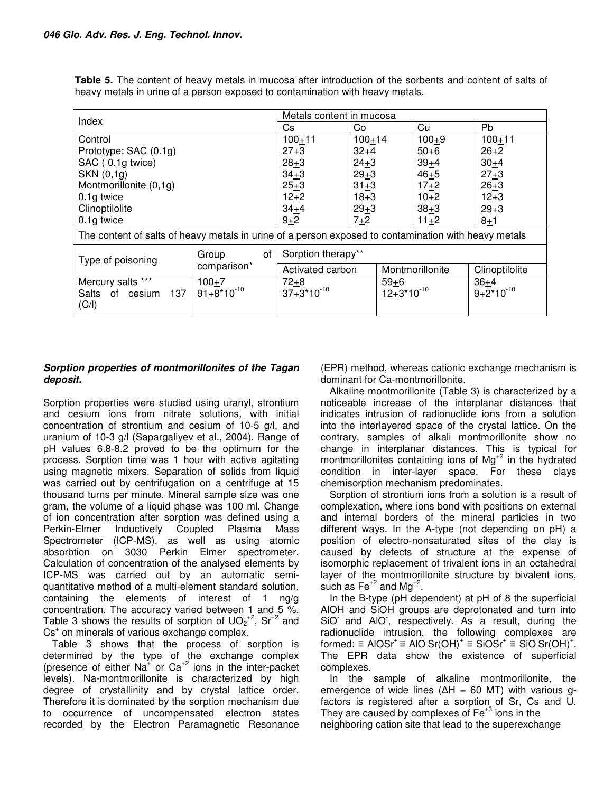**Table 5.** The content of heavy metals in mucosa after introduction of the sorbents and content of salts of heavy metals in urine of a person exposed to contamination with heavy metals.

| Index                                                | Metals content in mucosa       |                                                                                                      |                           |                 |                          |  |  |
|------------------------------------------------------|--------------------------------|------------------------------------------------------------------------------------------------------|---------------------------|-----------------|--------------------------|--|--|
|                                                      | Cs.                            | Co                                                                                                   | Cu                        | Pb              |                          |  |  |
| Control                                              |                                | $100 + 11$                                                                                           | $100 + 14$                | $100 + 9$       | $100 + 11$               |  |  |
| Prototype: SAC (0.1g)                                |                                | $27 + 3$                                                                                             | $32+4$                    | $50 + 6$        | $26 + 2$                 |  |  |
| SAC (0.1g twice)                                     |                                | $28 + 3$                                                                                             | $24 + 3$                  | $39 + 4$        | $30+4$                   |  |  |
| SKN (0,1g)                                           |                                | $34 + 3$                                                                                             | $29 + 3$                  | $46 + 5$        | $27 + 3$                 |  |  |
| Montmorillonite (0,1g)                               |                                | $25 + 3$                                                                                             | $31 + 3$                  | $17 + 2$        | $26 + 3$                 |  |  |
| 0.1g twice                                           | $12+2$                         | $18 + 3$                                                                                             | $10+2$                    | $12 + 3$        |                          |  |  |
| Clinoptilolite                                       | $34 + 4$                       | $29 + 3$                                                                                             | $38 + 3$                  | $29 + 3$        |                          |  |  |
| 0.1g twice                                           | $9 + 2$                        | $7 + 2$                                                                                              | $11+2$                    | $8 + 1$         |                          |  |  |
|                                                      |                                | The content of salts of heavy metals in urine of a person exposed to contamination with heavy metals |                           |                 |                          |  |  |
| Type of poisoning                                    | οf<br>Group                    | Sorption therapy**                                                                                   |                           |                 |                          |  |  |
|                                                      | comparison*                    | Activated carbon                                                                                     |                           | Montmorillonite | Clinoptilolite           |  |  |
| Mercury salts ***<br>Salts of cesium<br>137<br>(C/I) | $100 + 7$<br>$91 + 8*10^{-10}$ | $72+8$<br>37+3*10 <sup>-10</sup>                                                                     | $59+6$<br>$12+3*10^{-10}$ |                 | $36+4$<br>$9+2*10^{-10}$ |  |  |

## **Sorption properties of montmorillonites of the Tagan deposit.**

Sorption properties were studied using uranyl, strontium and cesium ions from nitrate solutions, with initial concentration of strontium and cesium of 10-5 g/l, and uranium of 10-3 g/l (Sapargaliyev et al., 2004). Range of рН values 6.8-8.2 proved to be the optimum for the process. Sorption time was 1 hour with active agitating using magnetic mixers. Separation of solids from liquid was carried out by centrifugation on a centrifuge at 15 thousand turns per minute. Mineral sample size was one gram, the volume of a liquid phase was 100 ml. Change of ion concentration after sorption was defined using a Perkin-Elmer Inductively Coupled Plasma Mass Spectrometer (ICP-MS), as well as using atomic absorbtion on 3030 Perkin Elmer spectrometer. Calculation of concentration of the analysed elements by ICP-MS was carried out by an automatic semiquantitative method of a multi-element standard solution, containing the elements of interest of 1 ng/g concentration. The accuracy varied between 1 and 5 %. Table 3 shows the results of sorption of  $UO_2^{2}$ , Sr<sup>+2</sup> and Cs<sup>+</sup> on minerals of various exchange complex.

Table 3 shows that the process of sorption is determined by the type of the exchange complex (presence of either  $Na<sup>+</sup>$  or  $Ca<sup>+2</sup>$  ions in the inter-packet levels). Na-montmorillonite is characterized by high degree of crystallinity and by crystal lattice order. Therefore it is dominated by the sorption mechanism due to occurrence of uncompensated electron states recorded by the Electron Paramagnetic Resonance

(EPR) method, whereas cationic exchange mechanism is dominant for Ca-montmorillonite.

Alkaline montmorillonite (Table 3) is characterized by a noticeable increase of the interplanar distances that indicates intrusion of radionuclide ions from a solution into the interlayered space of the crystal lattice. On the contrary, samples of alkali montmorillonite show no change in interplanar distances. This is typical for montmorillonites containing ions of  $Mg^{2}$  in the hydrated condition in inter-layer space. For these clays chemisorption mechanism predominates.

Sorption of strontium ions from a solution is a result of complexation, where ions bond with positions on external and internal borders of the mineral particles in two different ways. In the A-type (not depending on рН) a position of electro-nonsaturated sites of the clay is caused by defects of structure at the expense of isomorphic replacement of trivalent ions in an octahedral layer of the montmorillonite structure by bivalent ions, such as  $Fe^{+2}$  and Mg<sup>+2</sup>.

In the B-type (pH dependent) at pH of 8 the superficial AlOH and SiOH groups are deprotonated and turn into SiO and AIO, respectively. As a result, during the radionuclide intrusion, the following complexes are formed:  $\equiv$  AIOSr<sup>+</sup>  $\equiv$  AIO Sr(OH)<sup>+</sup>  $\equiv$  SiOSr<sup>+</sup>  $\equiv$  SiO Sr(OH)<sup>+</sup>. The EPR data show the existence of superficial complexes.

In the sample of alkaline montmorillonite, the emergence of wide lines ( $\Delta H = 60$  MT) with various gfactors is registered after a sorption of Sr, Cs and U. They are caused by complexes of  $Fe<sup>+3</sup>$  ions in the neighboring cation site that lead to the superexchange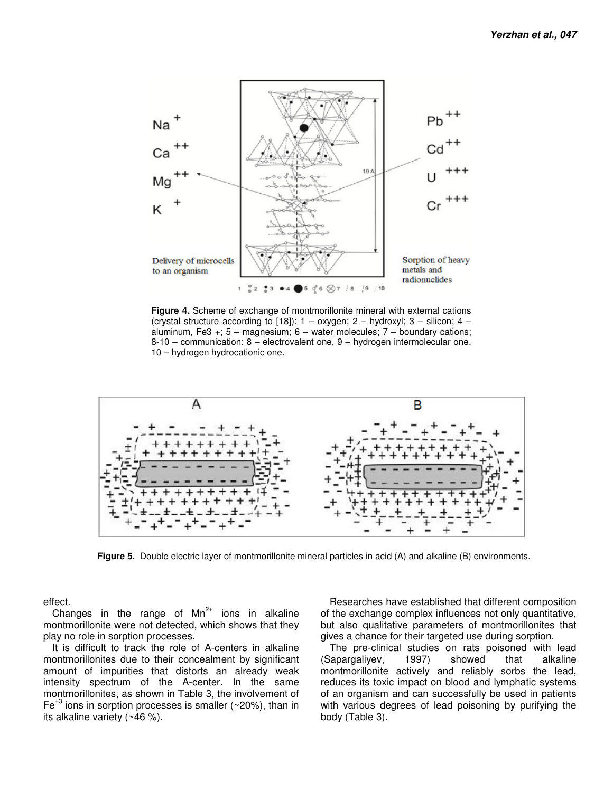

**Figure 4.** Scheme of exchange of montmorillonite mineral with external cations (crystal structure according to [18]):  $1 -$  oxygen;  $2 -$  hydroxyl;  $3 -$  silicon;  $4$ aluminum, Fe3 +;  $5 -$  magnesium;  $6 -$  water molecules;  $7 -$  boundary cations; 8-10 – communication: 8 – electrovalent one, 9 – hydrogen intermolecular one, 10 – hydrogen hydrocationic one.



**Figure 5.** Double electric layer of montmorillonite mineral particles in acid (A) and alkaline (B) environments.

effect.

Changes in the range of  $Mn^{2+}$  ions in alkaline montmorillonite were not detected, which shows that they play no role in sorption processes.

It is difficult to track the role of A-centers in alkaline montmorillonites due to their concealment by significant amount of impurities that distorts an already weak intensity spectrum of the A-center. In the same montmorillonites, as shown in Table 3, the involvement of  $Fe^{+3}$  ions in sorption processes is smaller ( $\sim$ 20%), than in its alkaline variety (~46 %).

Researches have established that different composition of the exchange complex influences not only quantitative, but also qualitative parameters of montmorillonites that gives a chance for their targeted use during sorption.

The pre-clinical studies on rats poisoned with lead (Sapargaliyev, 1997) showed that alkaline montmorillonite actively and reliably sorbs the lead, reduces its toxic impact on blood and lymphatic systems of an organism and can successfully be used in patients with various degrees of lead poisoning by purifying the body (Table 3).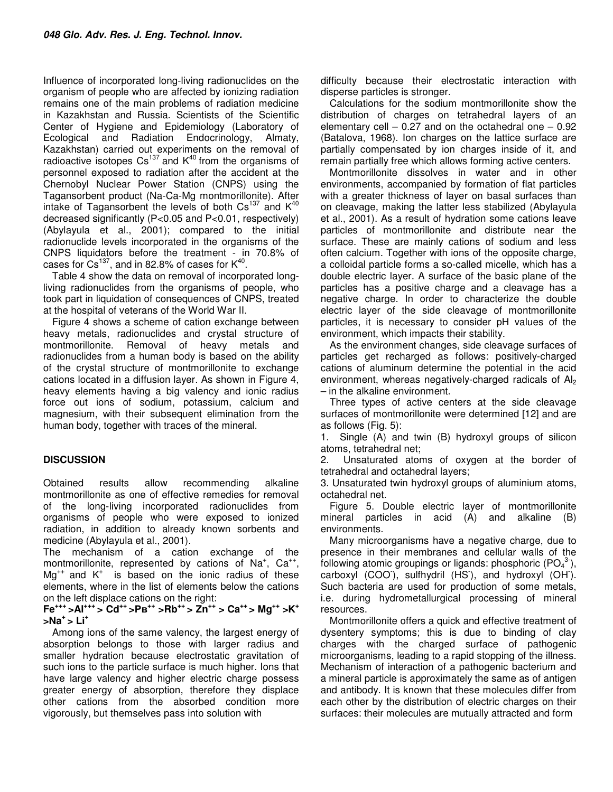Influence of incorporated long-living radionuclides on the organism of people who are affected by ionizing radiation remains one of the main problems of radiation medicine in Kazakhstan and Russia. Scientists of the Scientific Center of Hygiene and Epidemiology (Laboratory of Ecological and Radiation Endocrinology, Almaty, Kazakhstan) carried out experiments on the removal of radioactive isotopes  $Cs^{137}$  and  $K^{40}$  from the organisms of personnel exposed to radiation after the accident at the Chernobyl Nuclear Power Station (CNPS) using the Tagansorbent product (Na-Ca-Mg montmorillonite). After intake of Tagansorbent the levels of both  $Cs^{137}$  and  $K^{40}$ decreased significantly (Р<0.05 and P<0.01, respectively) (Abylayula et al., 2001); compared to the initial radionuclide levels incorporated in the organisms of the CNPS liquidators before the treatment - in 70.8% of cases for  $Cs^{137}$ , and in 82.8% of cases for  $K^{40}$ .

Table 4 show the data on removal of incorporated longliving radionuclides from the organisms of people, who took part in liquidation of consequences of CNPS, treated at the hospital of veterans of the World War II.

Figure 4 shows a scheme of cation exchange between heavy metals, radionuclides and crystal structure of montmorillonite. Removal of heavy metals and radionuclides from a human body is based on the ability of the crystal structure of montmorillonite to exchange cations located in a diffusion layer. As shown in Figure 4, heavy elements having a big valency and ionic radius force out ions of sodium, potassium, calcium and magnesium, with their subsequent elimination from the human body, together with traces of the mineral.

### **DISCUSSION**

Obtained results allow recommending alkaline montmorillonite as one of effective remedies for removal of the long-living incorporated radionuclides from organisms of people who were exposed to ionized radiation, in addition to already known sorbents and medicine (Abylayula et al., 2001).

The mechanism of a cation exchange of the montmorillonite, represented by cations of  $Na^{+}$ ,  $Ca^{++}$ ,  $Mq^{++}$  and  $K^+$  is based on the ionic radius of these elements, where in the list of elements below the cations on the left displace cations on the right:

**Fe+++ >Al+++ > Cd++ >Рв++ >Rb++ > Zn++ > Ca++ > Mg++ >K<sup>+</sup> >Na<sup>+</sup>> Li<sup>+</sup>**

Among ions of the same valency, the largest energy of absorption belongs to those with larger radius and smaller hydration because electrostatic gravitation of such ions to the particle surface is much higher. Ions that have large valency and higher electric charge possess greater energy of absorption, therefore they displace other cations from the absorbed condition more vigorously, but themselves pass into solution with

difficulty because their electrostatic interaction with disperse particles is stronger.

Calculations for the sodium montmorillonite show the distribution of charges on tetrahedral layers of an elementary cell  $-0.27$  and on the octahedral one  $-0.92$ (Batalova, 1968). Ion charges on the lattice surface are partially compensated by ion charges inside of it, and remain partially free which allows forming active centers.

Montmorillonite dissolves in water and in other environments, accompanied by formation of flat particles with a greater thickness of layer on basal surfaces than on cleavage, making the latter less stabilized (Abylayula et al., 2001). As a result of hydration some cations leave particles of montmorillonite and distribute near the surface. These are mainly cations of sodium and less often calcium. Together with ions of the opposite charge, a colloidal particle forms a so-called micelle, which has a double electric layer. A surface of the basic plane of the particles has a positive charge and a cleavage has a negative charge. In order to characterize the double electric layer of the side cleavage of montmorillonite particles, it is necessary to consider рН values of the environment, which impacts their stability.

As the environment changes, side cleavage surfaces of particles get recharged as follows: positively-charged cations of aluminum determine the potential in the acid environment, whereas negatively-charged radicals of  $Al<sub>2</sub>$ – in the alkaline environment.

Three types of active centers at the side cleavage surfaces of montmorillonite were determined [12] and are as follows (Fig. 5):

1. Single (A) and twin (B) hydroxyl groups of silicon atoms, tetrahedral net;

2. Unsaturated atoms of oxygen at the border of tetrahedral and octahedral layers;

3. Unsaturated twin hydroxyl groups of aluminium atoms, octahedral net.

Figure 5. Double electric layer of montmorillonite mineral particles in acid (A) and alkaline (B) environments.

Many microorganisms have a negative charge, due to presence in their membranes and cellular walls of the following atomic groupings or ligands: phosphoric ( $PQ_4^3$  $\bar{\phantom{a}}$ ), carboxyl (COO), sulfhydril (HS), and hydroxyl (OH). Such bacteria are used for production of some metals, i.e. during hydrometallurgical processing of mineral resources.

Montmorillonite offers a quick and effective treatment of dysentery symptoms; this is due to binding of clay charges with the charged surface of pathogenic microorganisms, leading to a rapid stopping of the illness. Mechanism of interaction of a pathogenic bacterium and a mineral particle is approximately the same as of antigen and antibody. It is known that these molecules differ from each other by the distribution of electric charges on their surfaces: their molecules are mutually attracted and form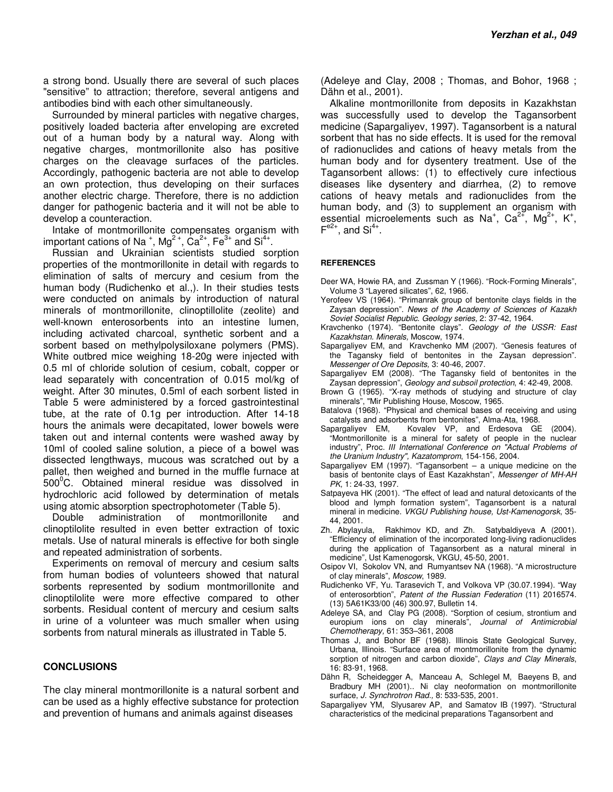a strong bond. Usually there are several of such places "sensitive" to attraction; therefore, several antigens and antibodies bind with each other simultaneously.

Surrounded by mineral particles with negative charges, positively loaded bacteria after enveloping are excreted out of a human body by a natural way. Along with negative charges, montmorillonite also has positive charges on the cleavage surfaces of the particles. Accordingly, pathogenic bacteria are not able to develop an own protection, thus developing on their surfaces another electric charge. Therefore, there is no addiction danger for pathogenic bacteria and it will not be able to develop a counteraction.

Intake of montmorillonite compensates organism with important cations of Na<sup>+</sup>, Mg<sup>2+</sup>, Ca<sup>2+</sup>, Fe<sup>3+</sup> and Si<sup>4+</sup>.

Russian and Ukrainian scientists studied sorption properties of the montmorillonite in detail with regards to elimination of salts of mercury and cesium from the human body (Rudichenko et al.,). In their studies tests were conducted on animals by introduction of natural minerals of montmorillonite, clinoptillolite (zeolite) and well-known enterosorbents into an intestine lumen, including activated charcoal, synthetic sorbent and a sorbent based on methylpolysiloxane polymers (PMS). White outbred mice weighing 18-20g were injected with 0.5 ml of chloride solution of cesium, cobalt, copper or lead separately with concentration of 0.015 mol/kg of weight. After 30 minutes, 0.5ml of each sorbent listed in Table 5 were administered by a forced gastrointestinal tube, at the rate of 0.1g per introduction. After 14-18 hours the animals were decapitated, lower bowels were taken out and internal contents were washed away by 10ml of cooled saline solution, a piece of a bowel was dissected lengthways, mucous was scratched out by a pallet, then weighed and burned in the muffle furnace at  $500^{\circ}$ C. Obtained mineral residue was dissolved in hydrochloric acid followed by determination of metals using atomic absorption spectrophotometer (Table 5).

Double administration of montmorillonite and clinoptilolite resulted in even better extraction of toxic metals. Use of natural minerals is effective for both single and repeated administration of sorbents.

Experiments on removal of mercury and cesium salts from human bodies of volunteers showed that natural sorbents represented by sodium montmorillonite and clinoptilolite were more effective compared to other sorbents. Residual content of mercury and cesium salts in urine of a volunteer was much smaller when using sorbents from natural minerals as illustrated in Table 5.

#### **CONCLUSIONS**

The clay mineral montmorillonite is a natural sorbent and can be used as a highly effective substance for protection and prevention of humans and animals against diseases

(Adeleye and Clay, 2008 ; Thomas, and Bohor, 1968 ; Dähn et al., 2001).

Alkaline montmorillonite from deposits in Kazakhstan was successfully used to develop the Tagansorbent medicine (Sapargaliyev, 1997). Tagansorbent is a natural sorbent that has no side effects. It is used for the removal of radionuclides and cations of heavy metals from the human body and for dysentery treatment. Use of the Tagansorbent allows: (1) to effectively cure infectious diseases like dysentery and diarrhea, (2) to remove cations of heavy metals and radionuclides from the human body, and (3) to supplement an organism with essential microelements such as Na<sup>+</sup>, Ca<sup>2+</sup>, Mg<sup>2+</sup>, K<sup>+</sup>,  $F^{e2+}$ , and Si<sup>4+</sup>.

#### **REFERENCES**

- Deer WA, Howie RA, and Zussman Y (1966). "Rock-Forming Minerals", Volume 3 "Layered silicates", 62, 1966.
- Yerofeev VS (1964). "Primanrak group of bentonite clays fields in the Zaysan depression". *News of the Academy of Sciences of Kazakh Soviet Socialist Republic*. *Geology series,* 2: 37-42, 1964.
- Kravchenko (1974). "Bentonite clays". *Geology of the USSR: East Kazakhstan. Minerals,* Moscow, 1974.
- Sapargaliyev EM, and Kravchenko MM (2007). "Genesis features of the Tagansky field of bentonites in the Zaysan depression". *Messenger of Ore Deposits,* 3: 40-46, 2007.
- Sapargaliyev EM (2008). "The Tagansky field of bentonites in the Zaysan depression", *Geology and subsoil protection*, 4: 42-49, 2008.
- Brown G (1965). "X-ray methods of studying and structure of clay minerals", "Mir Publishing House, Moscow, 1965.
- Batalova (1968). "Physical and chemical bases of receiving and using catalysts and adsorbents from bentonites", Alma-Ata, 1968.
- Sapargaliyev EM, Kovalev VP, and Erdesova GE (2004). "Montmorillonite is a mineral for safety of people in the nuclear industry", Proc. *ΙΙΙ International Conference on "Actual Problems of the Uranium Industry", Kazatomprom*, 154-156, 2004.
- Sapargaliyev EM (1997). "Tagansorbent a unique medicine on the basis of bentonite clays of East Kazakhstan", *Messenger of MH-AH PK,* 1: 24-33, 1997.
- Satpayeva HK (2001). "The effect of lead and natural detoxicants of the blood and lymph formation system", Tagansorbent is a natural mineral in medicine. *VKGU Publishing house, Ust-Kamenogorsk*, 35- 44, 2001.
- Zh. Abylayula, Rakhimov KD, and Zh. Satybaldiyeva A (2001). "Efficiency of elimination of the incorporated long-living radionuclides during the application of Tagansorbent as a natural mineral in medicine", Ust Kamenogorsk, VKGU, 45-50, 2001.
- Osipov VI, Sokolov VN, and Rumyantsev NA (1968). "A microstructure of clay minerals", *Moscow*, 1989.
- Rudichenko VF, Yu. Tarasevich T, and Volkova VP (30.07.1994). "Way of enterosorbtion", *Patent of the Russian Federation* (11) 2016574. (13) 5A61K33/00 (46) 300.97, Bulletin 14.
- Adeleye SA, and Clay PG (2008). "Sorption of cesium, strontium and europium ions on clay minerals", *Journal of Antimicrobial Chemotherapy,* 61: 353–361, 2008
- Thomas J, and Bohor BF (1968). Illinois State Geological Survey, Urbana, Illinois. "Surface area of montmorillonite from the dynamic sorption of nitrogen and carbon dioxide", *Clays and Clay Minerals*, 16: 83-91, 1968.
- Dähn R, Scheidegger A, Manceau A, Schlegel M, Baeyens B, and Bradbury MH (2001).. Ni clay neoformation on montmorillonite surface, *J. Synchrotron Rad.,* 8: 533-535, 2001.
- Sapargaliyev YM, Slyusarev AP, and Samatov IB (1997). "Structural characteristics of the medicinal preparations Tagansorbent and